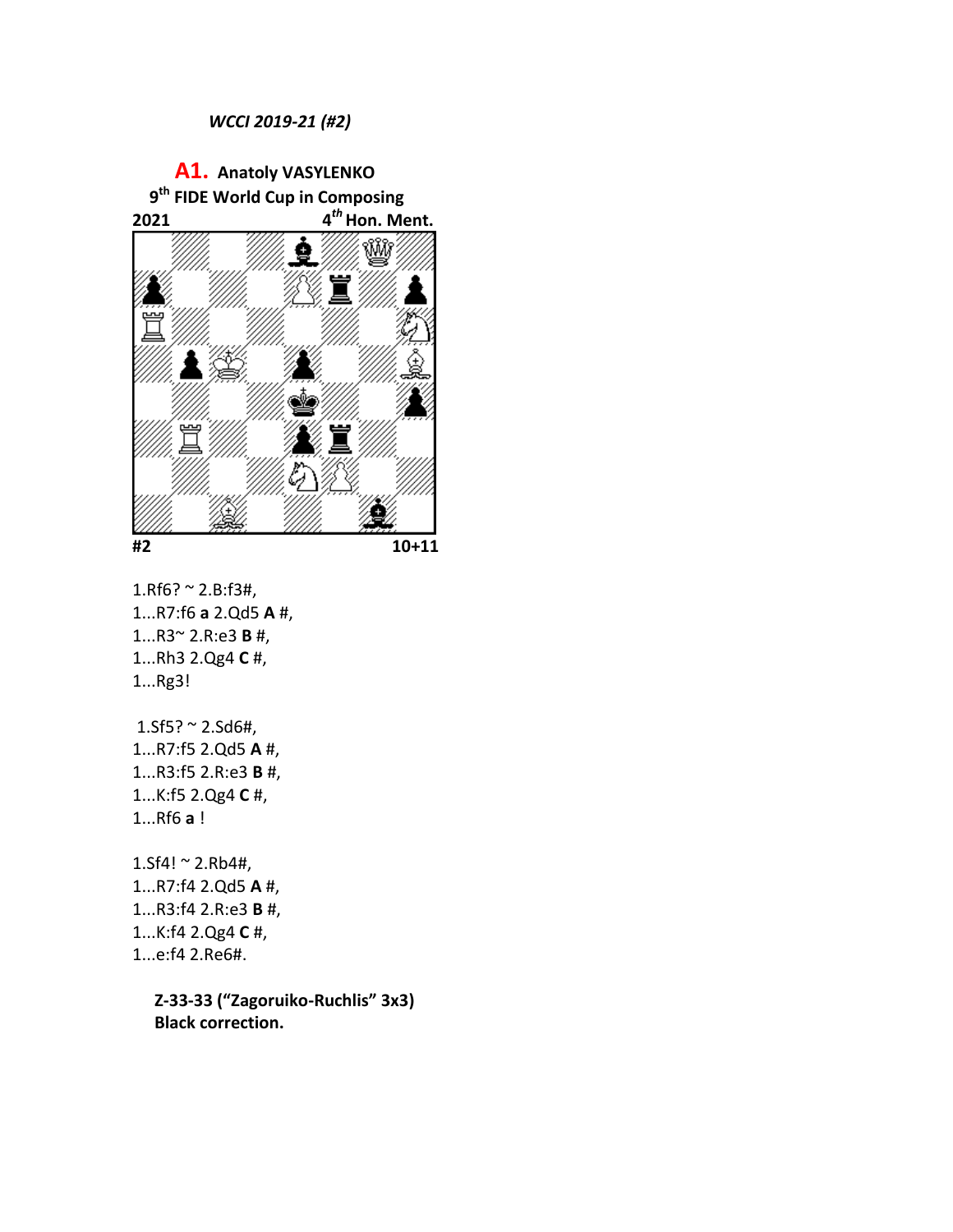## *WCCI 2019-21 (#2)*





 $1.$ Rf6? ~  $2.$ B:f3#, 1...R7:f6 **a** 2.Qd5 **A** #, 1...R3~ 2.R:e3 **B** #, 1...Rh3 2.Qg4 **C** #, 1...Rg3!

 $1.5f5? \sim 2.5d6#$ , 1...R7:f5 2.Qd5 **A** #, 1...R3:f5 2.R:e3 **B** #, 1...K:f5 2.Qg4 **C** #, 1...Rf6 **a** !

 $1.$ Sf4! ~  $2.$ Rb4#, 1...R7:f4 2.Qd5 **A** #, 1...R3:f4 2.R:e3 **B** #, 1...K:f4 2.Qg4 **C** #, 1...e:f4 2.Re6#.

> **Z-33-33 ("Zagoruiko-Ruchlis" 3x3) Black correction.**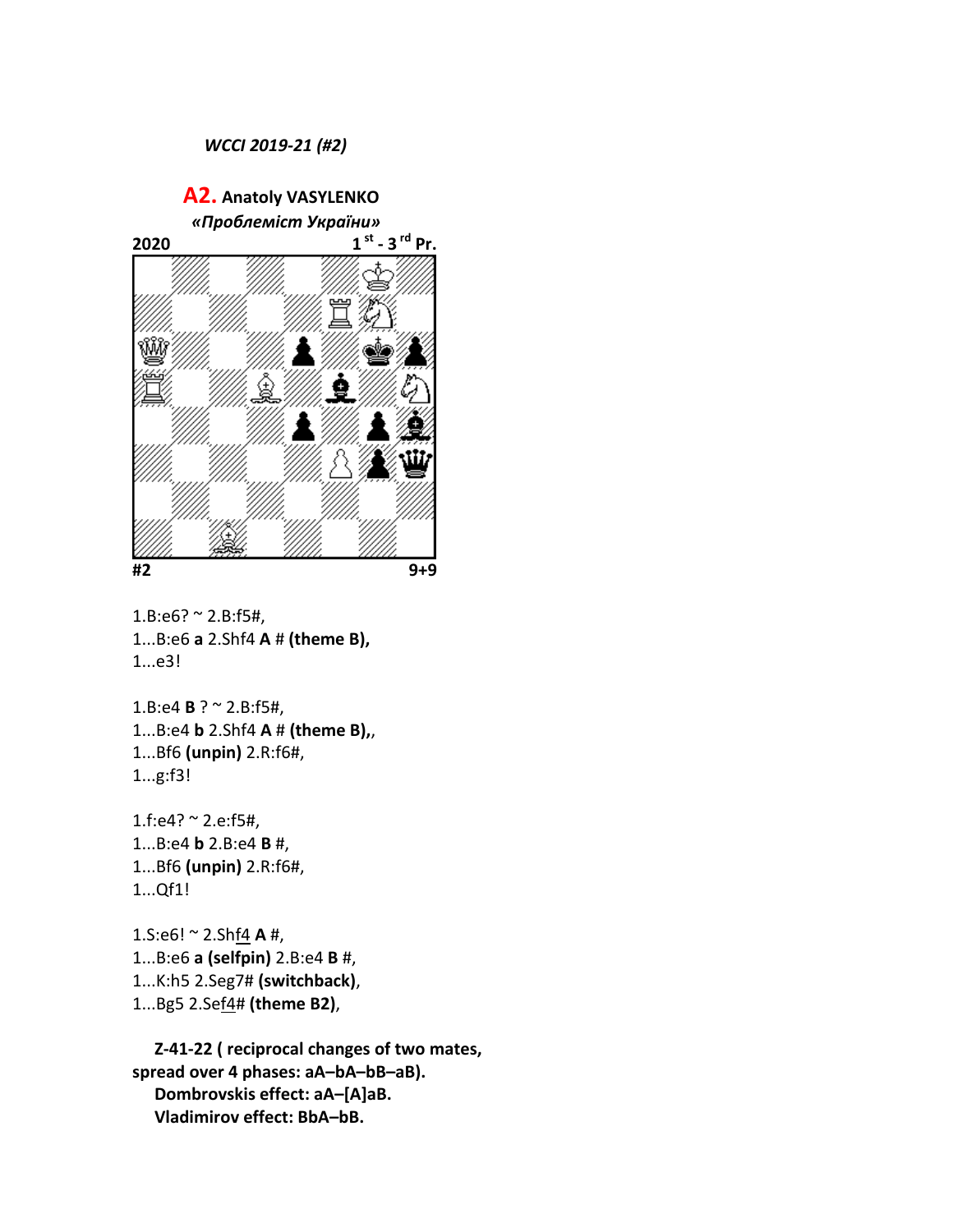## *WCCI 2019-21 (#2)*

 **A2. Anatoly VASYLENKO**   *«Проблеміст України»*  **2020 1 st - 3 rd Pr. #2 9+9**

 $1.B:e6? \approx 2.B:f5#$ , 1...B:e6 **a** 2.Shf4 **A** # **(theme B),** 1...e3!

1.B:e4 **B** ? ~ 2.B:f5#, 1...B:e4 **b** 2.Shf4 **A** # **(theme B),**, 1...Bf6 **(unpin)** 2.R:f6#, 1...g:f3!

1.f:e4? ~ 2.e:f5#, 1...B:e4 **b** 2.B:e4 **B** #, 1...Bf6 **(unpin)** 2.R:f6#, 1...Qf1!

1.S:e6! ~ 2.Shf4 **A** #, 1...B:e6 **a (selfpin)** 2.B:e4 **B** #, 1...K:h5 2.Seg7# **(switchback)**, 1...Bg5 2.Sef4# **(theme B2)**,

**Z-41-22 ( reciprocal changes of two mates, spread over 4 phases: aA–bA–bB–aB). Dombrovskis effect: aA–[A]aB. Vladimirov effect: BbA–bB.**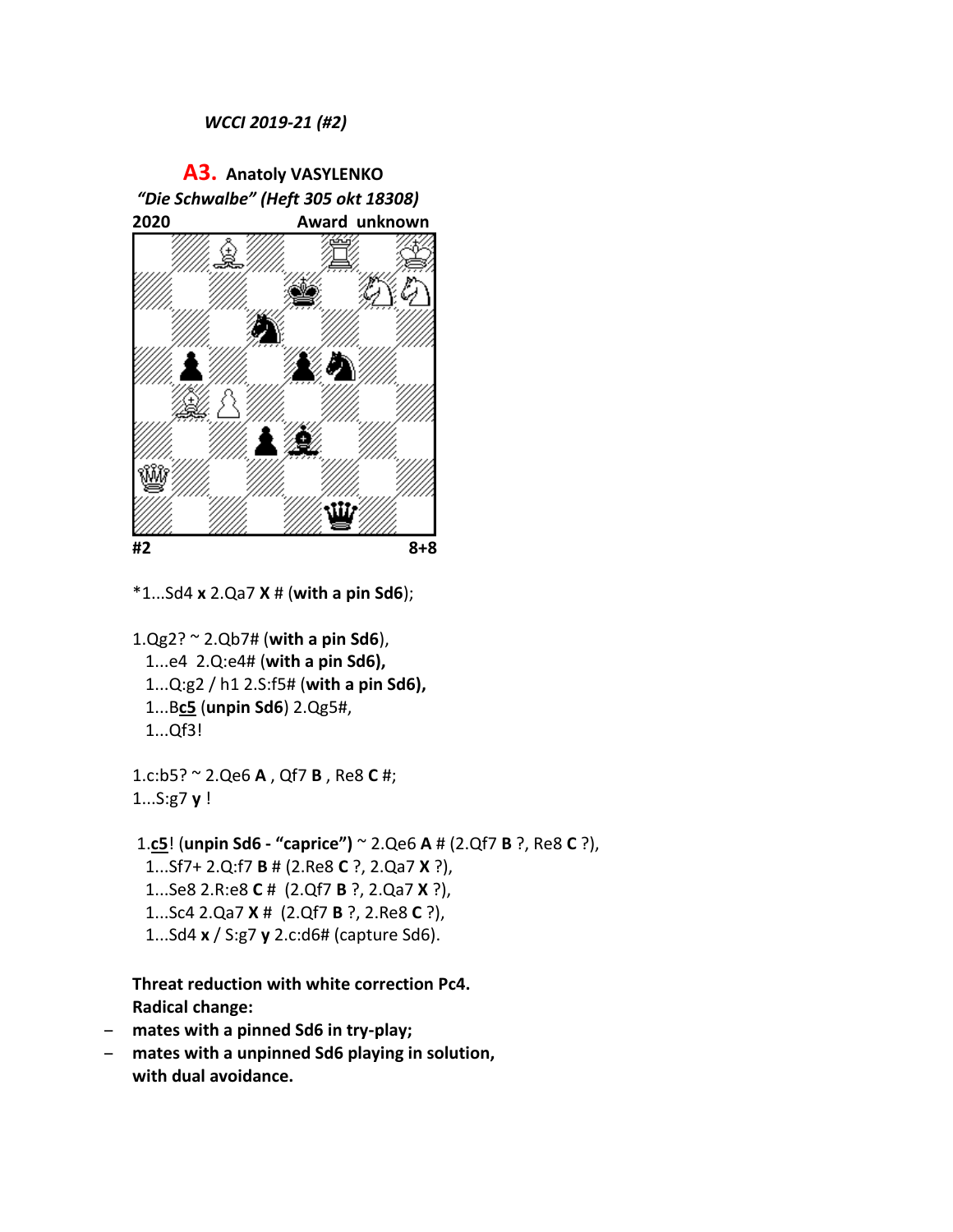## *WCCI 2019-21 (#2)*



\*1...Sd4 **x** 2.Qa7 **X** # (**with a pin Sd6**);

1.Qg2? ~ 2.Qb7# (**with a pin Sd6**), 1...e4 2.Q:e4# (**with a pin Sd6),**

- 1...Q:g2 / h1 2.S:f5# (**with a pin Sd6),**
- 1...B**c5** (**unpin Sd6**) 2.Qg5#,
- 1...Qf3!

1.c:b5? ~ 2.Qe6 **A** , Qf7 **B** , Re8 **C** #; 1...S:g7 **y** !

1.**c5**! (**unpin Sd6 - "caprice")** ~ 2.Qe6 **A** # (2.Qf7 **B** ?, Re8 **C** ?), 1...Sf7+ 2.Q:f7 **B** # (2.Re8 **C** ?, 2.Qa7 **X** ?), 1...Se8 2.R:e8 **C** # (2.Qf7 **B** ?, 2.Qa7 **X** ?), 1...Sc4 2.Qa7 **X** # (2.Qf7 **B** ?, 2.Re8 **C** ?), 1...Sd4 **x** / S:g7 **y** 2.c:d6# (capture Sd6).

**Threat reduction with white correction Pc4. Radical change:** 

- **mates with a pinned Sd6 in try-play;**
- **mates with a unpinned Sd6 playing in solution, with dual avoidance.**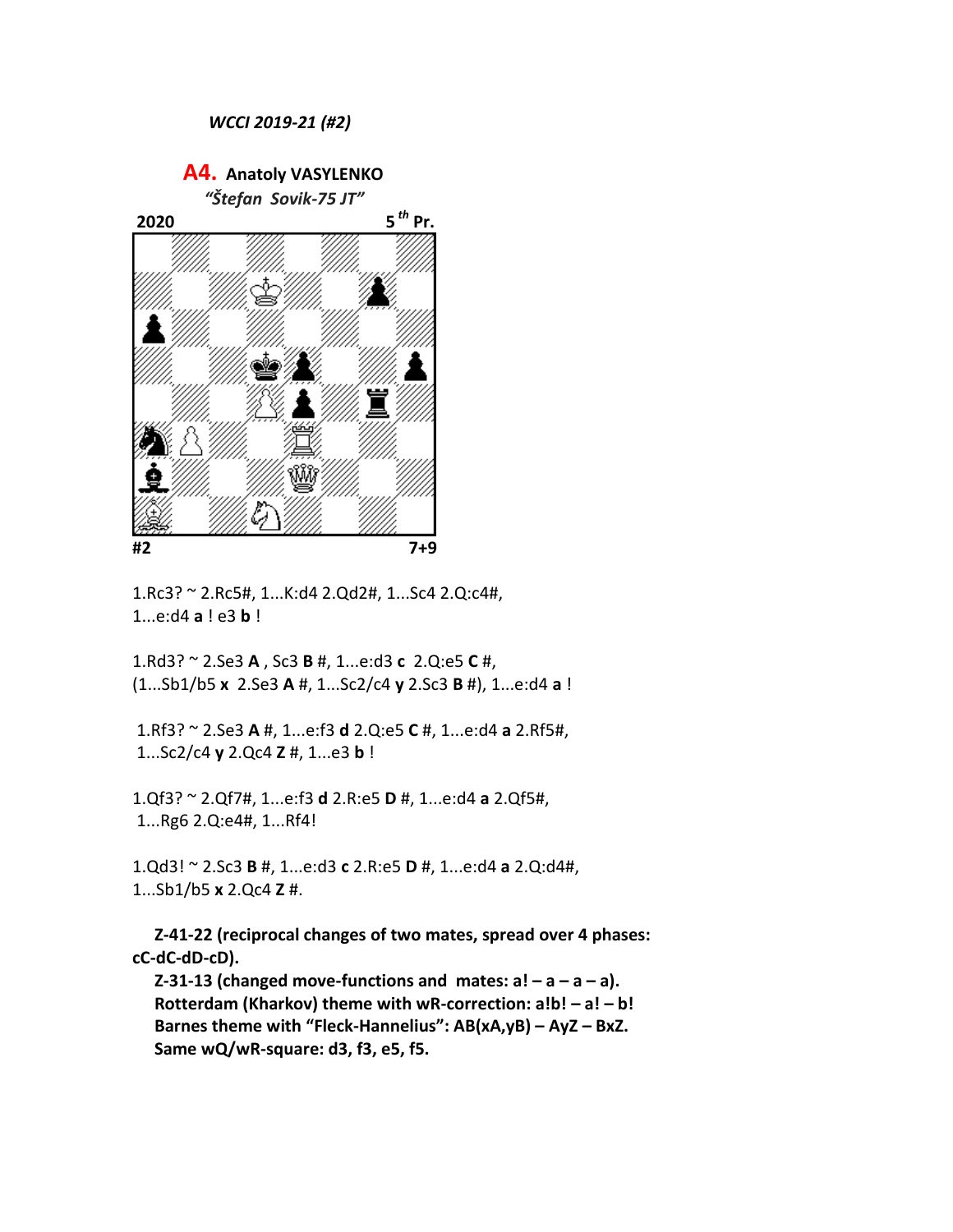**A4. Anatoly VASYLENKO**  *"Štefan Sovik-75 JT"*  **2020 5** *th* **Pr. #2 7+9**

1.Rc3? ~ 2.Rc5#, 1...K:d4 2.Qd2#, 1...Sc4 2.Q:c4#, 1...e:d4 **a** ! e3 **b** !

1.Rd3? ~ 2.Se3 **A** , Sc3 **B** #, 1...e:d3 **c** 2.Q:e5 **C** #, (1...Sb1/b5 **x** 2.Se3 **A** #, 1...Sc2/c4 **y** 2.Sc3 **B** #), 1...e:d4 **a** !

1.Rf3? ~ 2.Se3 **A** #, 1...e:f3 **d** 2.Q:e5 **C** #, 1...e:d4 **a** 2.Rf5#, 1...Sc2/c4 **y** 2.Qc4 **Z** #, 1...e3 **b** !

1.Qf3? ~ 2.Qf7#, 1...e:f3 **d** 2.R:e5 **D** #, 1...e:d4 **a** 2.Qf5#, 1...Rg6 2.Q:e4#, 1...Rf4!

1.Qd3! ~ 2.Sc3 **B** #, 1...e:d3 **c** 2.R:e5 **D** #, 1...e:d4 **a** 2.Q:d4#, 1...Sb1/b5 **x** 2.Qc4 **Z** #.

**Z-41-22 (reciprocal changes of two mates, spread over 4 phases: cC-dC-dD-cD).**

**Z-31-13 (changed move-functions and mates:**  $a! - a - a$ **). Rotterdam (Kharkov) theme with wR-correction: a!b! – a! – b! Barnes theme with "Fleck-Hannelius": AB(xA,yB) – AyZ – BxZ. Same wQ/wR-square: d3, f3, e5, f5.**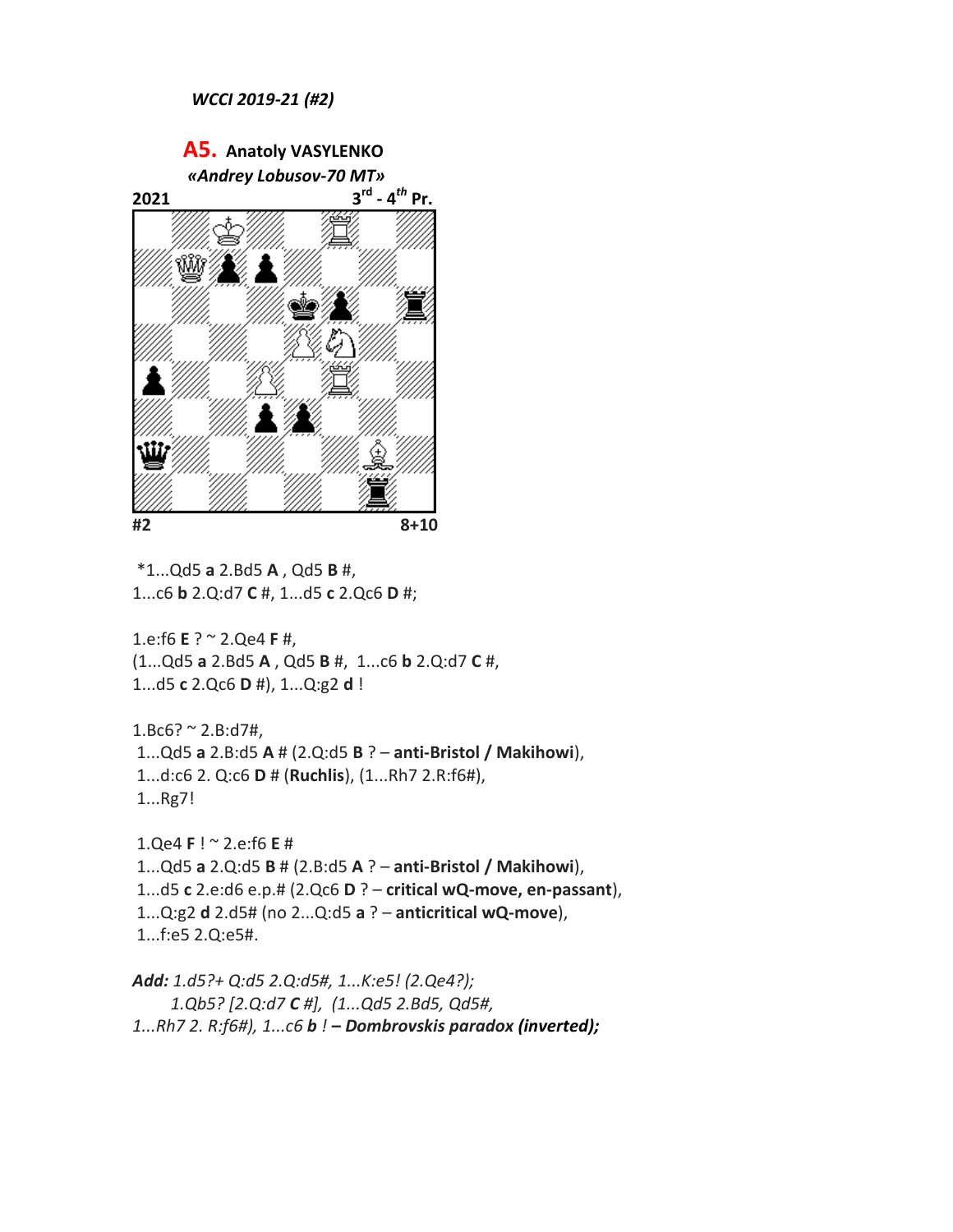

\*1...Qd5 **a** 2.Bd5 **A** , Qd5 **B** #, 1...c6 **b** 2.Q:d7 **C** #, 1...d5 **c** 2.Qc6 **D** #;

1.e:f6 **E** ? ~ 2.Qe4 **F** #, (1...Qd5 **a** 2.Bd5 **A** , Qd5 **B** #, 1...c6 **b** 2.Q:d7 **C** #, 1...d5 **c** 2.Qc6 **D** #), 1...Q:g2 **d** !

 $1.Bc6? \approx 2.B:d7#$ , 1...Qd5 **a** 2.B:d5 **A** # (2.Q:d5 **B** ? – **anti-Bristol / Makihowi**), 1...d:c6 2. Q:c6 **D** # (**Ruchlis**), (1...Rh7 2.R:f6#), 1...Rg7!

1.Qe4 **F** ! ~ 2.e:f6 **E** # 1...Qd5 **a** 2.Q:d5 **B** # (2.B:d5 **A** ? – **anti-Bristol / Makihowi**), 1...d5 **с** 2.e:d6 e.p.# (2.Qc6 **D** ? – **critical wQ-move, en-passant**), 1...Q:g2 **d** 2.d5# (no 2...Q:d5 **a** ? – **anticritical wQ-move**), 1...f:e5 2.Q:e5#.

*Add: 1.d5?+ Q:d5 2.Q:d5#, 1...K:e5! (2.Qe4?); 1.Qb5? [2.Q:d7 C #], (1...Qd5 2.Bd5, Qd5#, 1...Rh7 2. R:f6#), 1...c6 b ! – Dombrovskis paradox (inverted);*